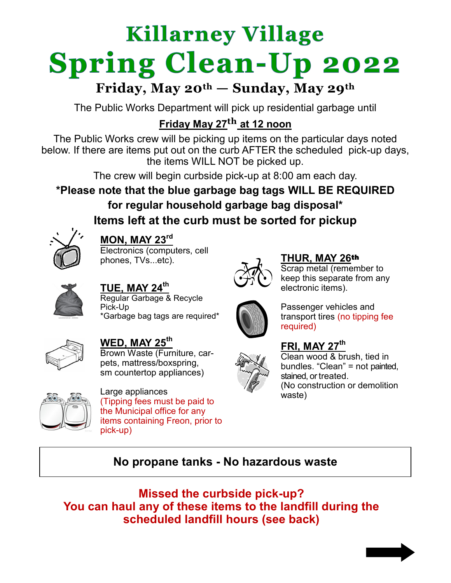# **Killarney Village Spring Clean-Up 2022**

## **Friday, May 20th — Sunday, May 29th**

The Public Works Department will pick up residential garbage until

### **Friday May 27th at 12 noon**

The Public Works crew will be picking up items on the particular days noted below. If there are items put out on the curb AFTER the scheduled pick-up days, the items WILL NOT be picked up.

The crew will begin curbside pick-up at 8:00 am each day.

**\*Please note that the blue garbage bag tags WILL BE REQUIRED for regular household garbage bag disposal\* Items left at the curb must be sorted for pickup**



#### **MON, MAY 23rd**

Electronics (computers, cell phones, TVs...etc).



**TUE, MAY 24th** Regular Garbage & Recycle Pick-Up \*Garbage bag tags are required\*



Passenger vehicles and transport tires (no tipping fee required)

Scrap metal (remember to keep this separate from any

#### **FRI, MAY 27th**

electronic items).

**THUR, MAY 26**th



Clean wood & brush, tied in bundles. "Clean" = not painted, stained, or treated. (No construction or demolition waste)



**WED, MAY 25th** Brown Waste (Furniture, carpets, mattress/boxspring, sm countertop appliances)



Large appliances (Tipping fees must be paid to the Municipal office for any items containing Freon, prior to pick-up)

#### **No propane tanks - No hazardous waste**

**Missed the curbside pick-up? You can haul any of these items to the landfill during the scheduled landfill hours (see back)**